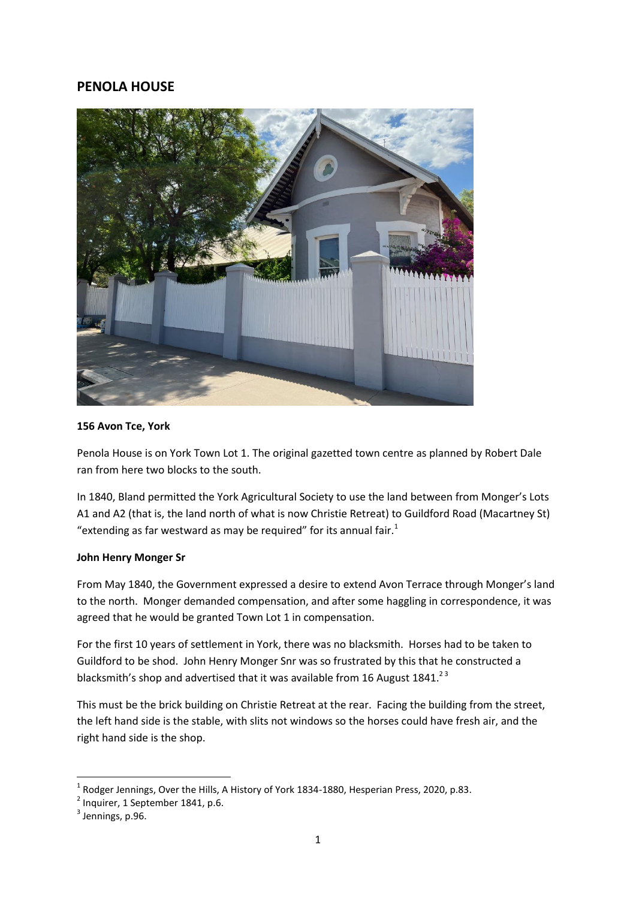# **PENOLA HOUSE**



### **156 Avon Tce, York**

Penola House is on York Town Lot 1. The original gazetted town centre as planned by Robert Dale ran from here two blocks to the south.

In 1840, Bland permitted the York Agricultural Society to use the land between from Monger's Lots A1 and A2 (that is, the land north of what is now Christie Retreat) to Guildford Road (Macartney St) "extending as far westward as may be required" for its annual fair. $<sup>1</sup>$ </sup>

### **John Henry Monger Sr**

From May 1840, the Government expressed a desire to extend Avon Terrace through Monger's land to the north. Monger demanded compensation, and after some haggling in correspondence, it was agreed that he would be granted Town Lot 1 in compensation.

For the first 10 years of settlement in York, there was no blacksmith. Horses had to be taken to Guildford to be shod. John Henry Monger Snr was so frustrated by this that he constructed a blacksmith's shop and advertised that it was available from 16 August 1841.<sup>23</sup>

This must be the brick building on Christie Retreat at the rear. Facing the building from the street, the left hand side is the stable, with slits not windows so the horses could have fresh air, and the right hand side is the shop.

**.** 

<sup>1</sup> Rodger Jennings, Over the Hills, A History of York 1834-1880, Hesperian Press, 2020, p.83.

 $2$  Inquirer, 1 September 1841, p.6.

 $<sup>3</sup>$  Jennings, p.96.</sup>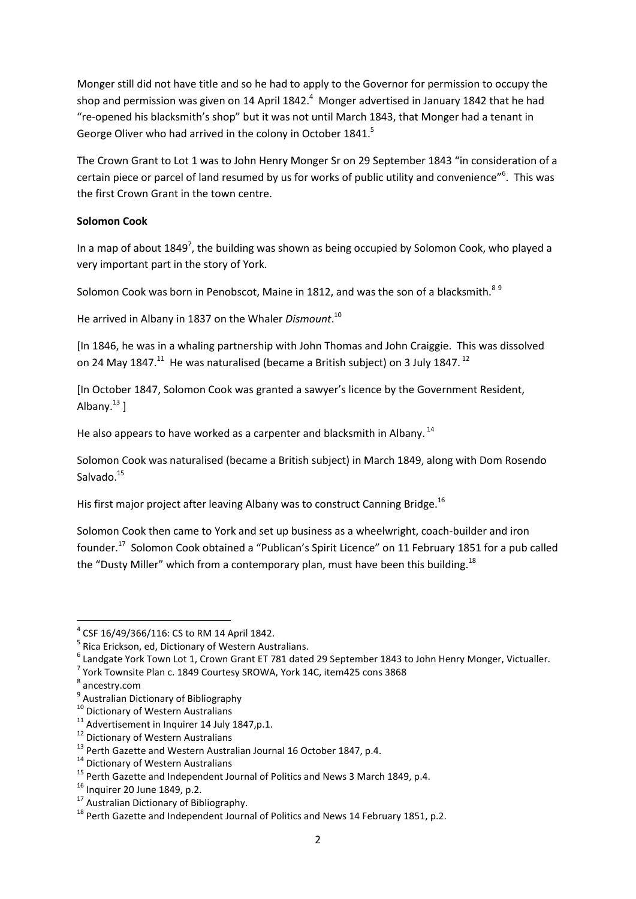Monger still did not have title and so he had to apply to the Governor for permission to occupy the shop and permission was given on 14 April 1842.<sup>4</sup> Monger advertised in January 1842 that he had "re-opened his blacksmith's shop" but it was not until March 1843, that Monger had a tenant in George Oliver who had arrived in the colony in October 1841.<sup>5</sup>

The Crown Grant to Lot 1 was to John Henry Monger Sr on 29 September 1843 "in consideration of a certain piece or parcel of land resumed by us for works of public utility and convenience"<sup>6</sup>. This was the first Crown Grant in the town centre.

# **Solomon Cook**

In a map of about  $1849^7$ , the building was shown as being occupied by Solomon Cook, who played a very important part in the story of York.

Solomon Cook was born in Penobscot. Maine in 1812, and was the son of a blacksmith.<sup>89</sup>

He arrived in Albany in 1837 on the Whaler *Dismount*. 10

[In 1846, he was in a whaling partnership with John Thomas and John Craiggie. This was dissolved on 24 May 1847. $^{11}$  He was naturalised (became a British subject) on 3 July 1847.  $^{12}$ 

[In October 1847, Solomon Cook was granted a sawyer's licence by the Government Resident, Albany. $^{13}$  ]

He also appears to have worked as a carpenter and blacksmith in Albany.<sup>14</sup>

Solomon Cook was naturalised (became a British subject) in March 1849, along with Dom Rosendo Salvado.<sup>15</sup>

His first major project after leaving Albany was to construct Canning Bridge.<sup>16</sup>

Solomon Cook then came to York and set up business as a wheelwright, coach-builder and iron founder.<sup>17</sup> Solomon Cook obtained a "Publican's Spirit Licence" on 11 February 1851 for a pub called the "Dusty Miller" which from a contemporary plan, must have been this building.<sup>18</sup>

**.** 

<sup>4</sup> CSF 16/49/366/116: CS to RM 14 April 1842.

<sup>&</sup>lt;sup>5</sup> Rica Erickson, ed, Dictionary of Western Australians.

<sup>6</sup> Landgate York Town Lot 1, Crown Grant ET 781 dated 29 September 1843 to John Henry Monger, Victualler.

 $^7$  York Townsite Plan c. 1849 Courtesy SROWA, York 14C, item425 cons 3868

<sup>8</sup> ancestry.com

<sup>&</sup>lt;sup>9</sup> Australian Dictionary of Bibliography

<sup>&</sup>lt;sup>10</sup> Dictionary of Western Australians

 $11$  Advertisement in Inquirer 14 July 1847, p.1.

<sup>&</sup>lt;sup>12</sup> Dictionary of Western Australians

<sup>&</sup>lt;sup>13</sup> Perth Gazette and Western Australian Journal 16 October 1847, p.4.

<sup>&</sup>lt;sup>14</sup> Dictionary of Western Australians

<sup>&</sup>lt;sup>15</sup> Perth Gazette and Independent Journal of Politics and News 3 March 1849, p.4.

 $16$  Inquirer 20 June 1849, p.2.

<sup>&</sup>lt;sup>17</sup> Australian Dictionary of Bibliography.

<sup>&</sup>lt;sup>18</sup> Perth Gazette and Independent Journal of Politics and News 14 February 1851, p.2.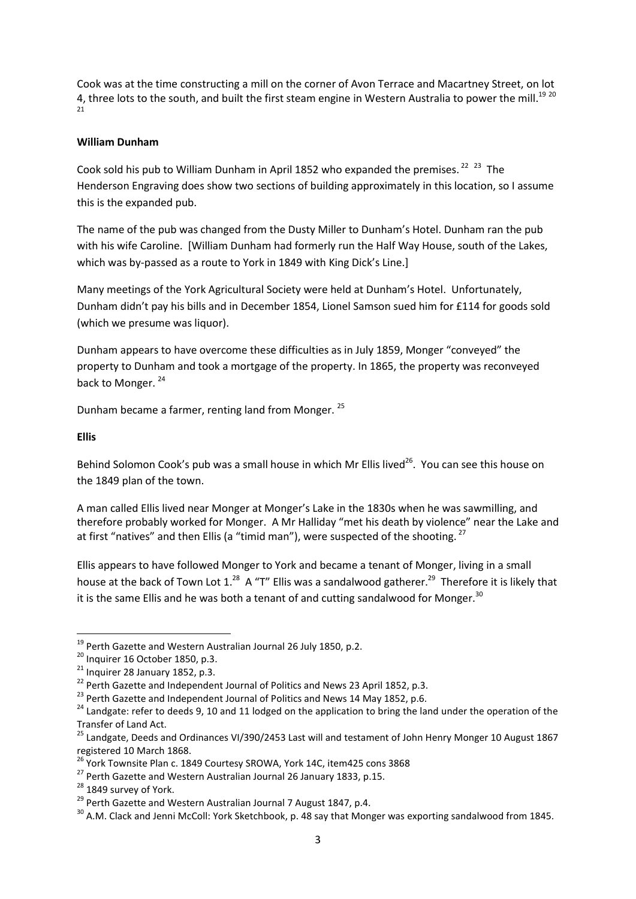Cook was at the time constructing a mill on the corner of Avon Terrace and Macartney Street, on lot 4, three lots to the south, and built the first steam engine in Western Australia to power the mill.<sup>19 20</sup> 21

### **William Dunham**

Cook sold his pub to William Dunham in April 1852 who expanded the premises.<sup>22</sup>  $^{23}$  The Henderson Engraving does show two sections of building approximately in this location, so I assume this is the expanded pub.

The name of the pub was changed from the Dusty Miller to Dunham's Hotel. Dunham ran the pub with his wife Caroline. [William Dunham had formerly run the Half Way House, south of the Lakes, which was by-passed as a route to York in 1849 with King Dick's Line.]

Many meetings of the York Agricultural Society were held at Dunham's Hotel. Unfortunately, Dunham didn't pay his bills and in December 1854, Lionel Samson sued him for £114 for goods sold (which we presume was liquor).

Dunham appears to have overcome these difficulties as in July 1859, Monger "conveyed" the property to Dunham and took a mortgage of the property. In 1865, the property was reconveyed back to Monger.<sup>24</sup>

Dunham became a farmer, renting land from Monger. <sup>25</sup>

### **Ellis**

 $\overline{a}$ 

Behind Solomon Cook's pub was a small house in which Mr Ellis lived<sup>26</sup>. You can see this house on the 1849 plan of the town.

A man called Ellis lived near Monger at Monger's Lake in the 1830s when he was sawmilling, and therefore probably worked for Monger. A Mr Halliday "met his death by violence" near the Lake and at first "natives" and then Ellis (a "timid man"), were suspected of the shooting.  $27$ 

Ellis appears to have followed Monger to York and became a tenant of Monger, living in a small house at the back of Town Lot 1.<sup>28</sup> A "T" Ellis was a sandalwood gatherer.<sup>29</sup> Therefore it is likely that it is the same Ellis and he was both a tenant of and cutting sandalwood for Monger. $30$ 

<sup>&</sup>lt;sup>19</sup> Perth Gazette and Western Australian Journal 26 July 1850, p.2.

 $20$  Inquirer 16 October 1850, p.3.

 $21$  Inquirer 28 January 1852, p.3.

<sup>&</sup>lt;sup>22</sup> Perth Gazette and Independent Journal of Politics and News 23 April 1852, p.3.

<sup>&</sup>lt;sup>23</sup> Perth Gazette and Independent Journal of Politics and News 14 May 1852, p.6.

<sup>&</sup>lt;sup>24</sup> Landgate: refer to deeds 9, 10 and 11 lodged on the application to bring the land under the operation of the Transfer of Land Act.

<sup>&</sup>lt;sup>25</sup> Landgate, Deeds and Ordinances VI/390/2453 Last will and testament of John Henry Monger 10 August 1867 registered 10 March 1868.

<sup>&</sup>lt;sup>26</sup> York Townsite Plan c. 1849 Courtesy SROWA, York 14C, item425 cons 3868

<sup>&</sup>lt;sup>27</sup> Perth Gazette and Western Australian Journal 26 January 1833, p.15.

<sup>&</sup>lt;sup>28</sup> 1849 survey of York.

<sup>&</sup>lt;sup>29</sup> Perth Gazette and Western Australian Journal 7 August 1847, p.4.

<sup>&</sup>lt;sup>30</sup> A.M. Clack and Jenni McColl: York Sketchbook, p. 48 say that Monger was exporting sandalwood from 1845.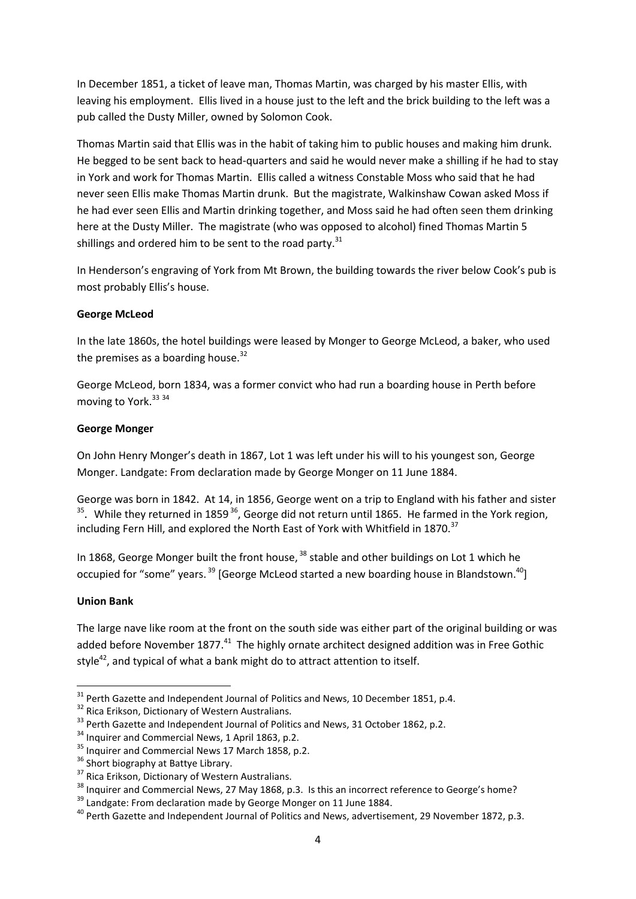In December 1851, a ticket of leave man, Thomas Martin, was charged by his master Ellis, with leaving his employment. Ellis lived in a house just to the left and the brick building to the left was a pub called the Dusty Miller, owned by Solomon Cook.

Thomas Martin said that Ellis was in the habit of taking him to public houses and making him drunk. He begged to be sent back to head-quarters and said he would never make a shilling if he had to stay in York and work for Thomas Martin. Ellis called a witness Constable Moss who said that he had never seen Ellis make Thomas Martin drunk. But the magistrate, Walkinshaw Cowan asked Moss if he had ever seen Ellis and Martin drinking together, and Moss said he had often seen them drinking here at the Dusty Miller. The magistrate (who was opposed to alcohol) fined Thomas Martin 5 shillings and ordered him to be sent to the road party. $31$ 

In Henderson's engraving of York from Mt Brown, the building towards the river below Cook's pub is most probably Ellis's house.

# **George McLeod**

In the late 1860s, the hotel buildings were leased by Monger to George McLeod, a baker, who used the premises as a boarding house. $32$ 

George McLeod, born 1834, was a former convict who had run a boarding house in Perth before moving to York.<sup>33 34</sup>

# **George Monger**

On John Henry Monger's death in 1867, Lot 1 was left under his will to his youngest son, George Monger. Landgate: From declaration made by George Monger on 11 June 1884.

George was born in 1842. At 14, in 1856, George went on a trip to England with his father and sister  $35$ . While they returned in 1859  $36$ , George did not return until 1865. He farmed in the York region, including Fern Hill, and explored the North East of York with Whitfield in 1870. $37$ 

In 1868, George Monger built the front house, <sup>38</sup> stable and other buildings on Lot 1 which he occupied for "some" years.<sup>39</sup> [George McLeod started a new boarding house in Blandstown.<sup>40</sup>]

# **Union Bank**

**.** 

The large nave like room at the front on the south side was either part of the original building or was added before November 1877.<sup>41</sup> The highly ornate architect designed addition was in Free Gothic style $42$ , and typical of what a bank might do to attract attention to itself.

 $31$  Perth Gazette and Independent Journal of Politics and News, 10 December 1851, p.4.

<sup>&</sup>lt;sup>32</sup> Rica Erikson, Dictionary of Western Australians.

<sup>&</sup>lt;sup>33</sup> Perth Gazette and Independent Journal of Politics and News, 31 October 1862, p.2.

<sup>&</sup>lt;sup>34</sup> Inquirer and Commercial News, 1 April 1863, p.2.

<sup>&</sup>lt;sup>35</sup> Inquirer and Commercial News 17 March 1858, p.2.

<sup>&</sup>lt;sup>36</sup> Short biography at Battye Library.

<sup>&</sup>lt;sup>37</sup> Rica Erikson, Dictionary of Western Australians.

<sup>&</sup>lt;sup>38</sup> Inquirer and Commercial News, 27 May 1868, p.3. Is this an incorrect reference to George's home?

<sup>&</sup>lt;sup>39</sup> Landgate: From declaration made by George Monger on 11 June 1884.

<sup>&</sup>lt;sup>40</sup> Perth Gazette and Independent Journal of Politics and News, advertisement, 29 November 1872, p.3.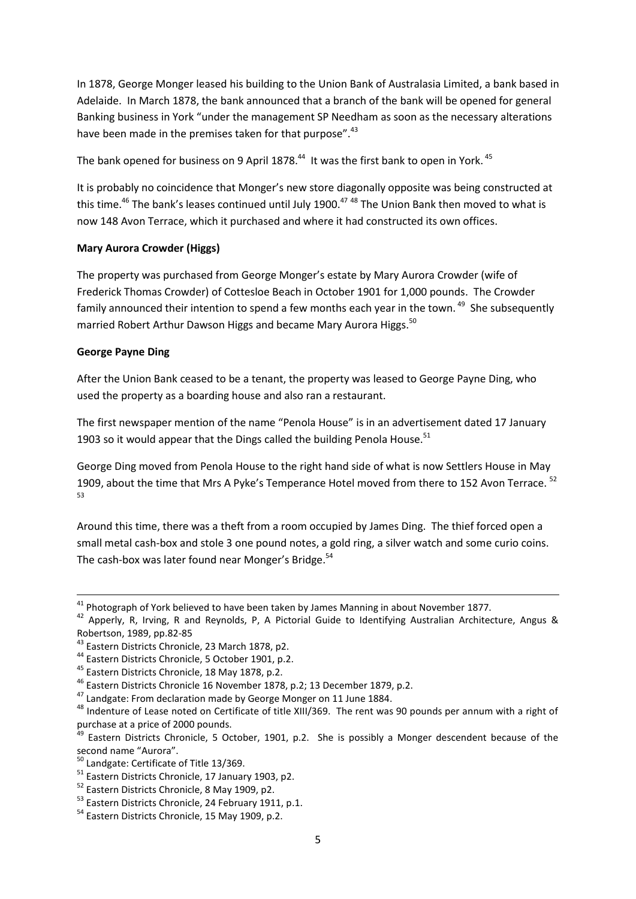In 1878, George Monger leased his building to the Union Bank of Australasia Limited, a bank based in Adelaide. In March 1878, the bank announced that a branch of the bank will be opened for general Banking business in York "under the management SP Needham as soon as the necessary alterations have been made in the premises taken for that purpose".<sup>43</sup>

The bank opened for business on 9 April 1878. $^{44}$  It was the first bank to open in York.  $^{45}$ 

It is probably no coincidence that Monger's new store diagonally opposite was being constructed at this time.<sup>46</sup> The bank's leases continued until July 1900.<sup>47 48</sup> The Union Bank then moved to what is now 148 Avon Terrace, which it purchased and where it had constructed its own offices.

# **Mary Aurora Crowder (Higgs)**

The property was purchased from George Monger's estate by Mary Aurora Crowder (wife of Frederick Thomas Crowder) of Cottesloe Beach in October 1901 for 1,000 pounds. The Crowder family announced their intention to spend a few months each year in the town. <sup>49</sup> She subsequently married Robert Arthur Dawson Higgs and became Mary Aurora Higgs.<sup>50</sup>

# **George Payne Ding**

**.** 

After the Union Bank ceased to be a tenant, the property was leased to George Payne Ding, who used the property as a boarding house and also ran a restaurant.

The first newspaper mention of the name "Penola House" is in an advertisement dated 17 January 1903 so it would appear that the Dings called the building Penola House. $51$ 

George Ding moved from Penola House to the right hand side of what is now Settlers House in May 1909, about the time that Mrs A Pyke's Temperance Hotel moved from there to 152 Avon Terrace. <sup>52</sup> 53

Around this time, there was a theft from a room occupied by James Ding. The thief forced open a small metal cash-box and stole 3 one pound notes, a gold ring, a silver watch and some curio coins. The cash-box was later found near Monger's Bridge.<sup>54</sup>

 $^{41}$  Photograph of York believed to have been taken by James Manning in about November 1877.

<sup>42</sup> Apperly, R, Irving, R and Reynolds, P, A Pictorial Guide to Identifying Australian Architecture, Angus & Robertson, 1989, pp.82-85

<sup>&</sup>lt;sup>43</sup> Eastern Districts Chronicle, 23 March 1878, p2.

<sup>44</sup> Eastern Districts Chronicle, 5 October 1901, p.2.

<sup>45</sup> Eastern Districts Chronicle, 18 May 1878, p.2.

<sup>46</sup> Eastern Districts Chronicle 16 November 1878, p.2; 13 December 1879, p.2.

<sup>&</sup>lt;sup>47</sup> Landgate: From declaration made by George Monger on 11 June 1884.

<sup>48</sup> Indenture of Lease noted on Certificate of title XIII/369. The rent was 90 pounds per annum with a right of purchase at a price of 2000 pounds.

<sup>&</sup>lt;sup>49</sup> Eastern Districts Chronicle, 5 October, 1901, p.2. She is possibly a Monger descendent because of the second name "Aurora".

<sup>&</sup>lt;sup>50</sup> Landgate: Certificate of Title 13/369.

<sup>&</sup>lt;sup>51</sup> Eastern Districts Chronicle, 17 January 1903, p2.

<sup>&</sup>lt;sup>52</sup> Eastern Districts Chronicle, 8 May 1909, p2.

<sup>53</sup> Eastern Districts Chronicle, 24 February 1911, p.1.

<sup>&</sup>lt;sup>54</sup> Eastern Districts Chronicle, 15 May 1909, p.2.